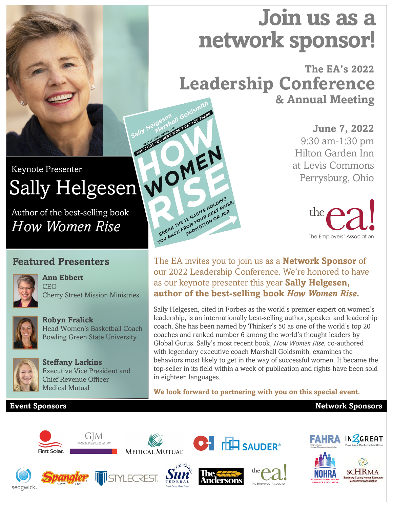# **Join us as a network sponsor!**

**The EA's 2022 & Annual Meeting Leadership Conference**

> **June 7, 2022** 9:30 am-1:30 pm Hilton Garden Inn at Levis Commons Perrysburg, Ohio



The EA invites you to join us as a **Network Sponsor** of our 2022 Leadership Conference. We're honored to have as our keynote presenter this year **Sally Helgesen, author of the best-selling book** *How Women Rise***.** 

Sally Helgesen, cited in Forbes as the world's premier expert on women's leadership, is an internationally best-selling author, speaker and leadership coach. She has been named by Thinker's 50 as one of the world's top 20 coaches and ranked number 6 among the world's thought leaders by Global Gurus. Sally's most recent book, *How Women Rise*, co-authored with legendary executive coach Marshall Goldsmith, examines the behaviors most likely to get in the way of successful women. It became the top-seller in its field within a week of publication and rights have been sold in eighteen languages.

**We look forward to partnering with you on this special event.**

#### **Event Sponsors**

sedgwick

## Keynote Presenter Sally Helgesen

Author of the best-selling book *How Women Rise*

### **Featured Presenters**

**Ann Ebbert**



**CEO** Cherry Street Mission Ministries



**Robyn Fralick** Head Women's Basketball Coach Bowling Green State University

Executive Vice President and

**Steffany Larkins**

Medical Mutual

Chief Revenue Officer





**Network Sponsors**







Sally Helgesenall Gold

BREAK THE 12 HABITS HOLDING BREAK THE 12 HABITS HOLDINGSE.